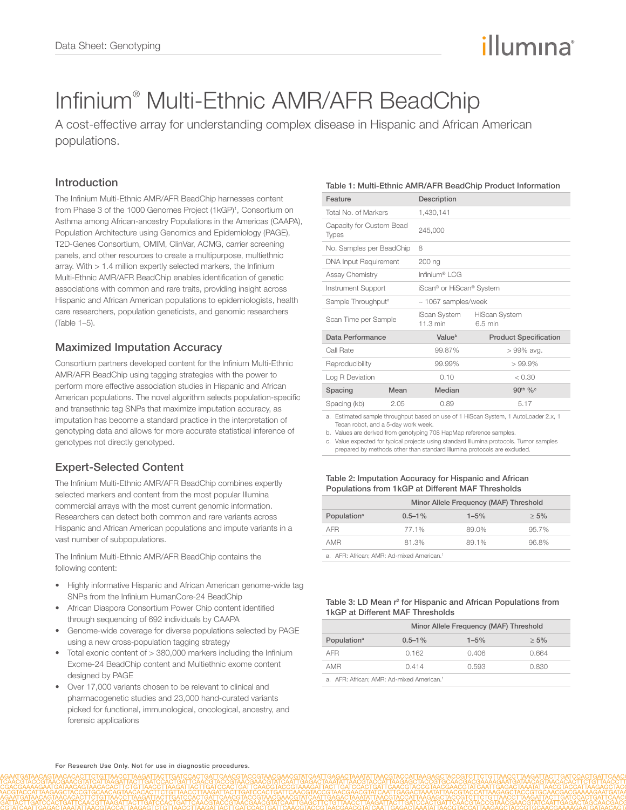# illumına

# Infinium® Multi-Ethnic AMR/AFR BeadChip

A cost-effective array for understanding complex disease in Hispanic and African American populations.

# Introduction

The Infinium Multi-Ethnic AMR/AFR BeadChip harnesses content from Phase 3 of the 1000 Genomes Project (1kGP)<sup>1</sup>, Consortium on Asthma among African-ancestry Populations in the Americas (CAAPA), Population Architecture using Genomics and Epidemiology (PAGE), T2D-Genes Consortium, OMIM, ClinVar, ACMG, carrier screening panels, and other resources to create a multipurpose, multiethnic array. With  $> 1.4$  million expertly selected markers, the Infinium Multi-Ethnic AMR/AFR BeadChip enables identification of genetic associations with common and rare traits, providing insight across Hispanic and African American populations to epidemiologists, health care researchers, population geneticists, and genomic researchers (Table 1–5).

# Maximized Imputation Accuracy

Consortium partners developed content for the Infinium Multi-Ethnic AMR/AFR BeadChip using tagging strategies with the power to perform more effective association studies in Hispanic and African American populations. The novel algorithm selects population-specific and transethnic tag SNPs that maximize imputation accuracy, as imputation has become a standard practice in the interpretation of genotyping data and allows for more accurate statistical inference of genotypes not directly genotyped.

# Expert-Selected Content

The Infinium Multi-Ethnic AMR/AFR BeadChip combines expertly selected markers and content from the most popular Illumina commercial arrays with the most current genomic information. Researchers can detect both common and rare variants across Hispanic and African American populations and impute variants in a vast number of subpopulations.

The Infinium Multi-Ethnic AMR/AFR BeadChip contains the following content:

- Highly informative Hispanic and African American genome-wide tag SNPs from the Infinium HumanCore-24 BeadChip
- African Diaspora Consortium Power Chip content identified through sequencing of 692 individuals by CAAPA
- Genome-wide coverage for diverse populations selected by PAGE using a new cross-population tagging strategy
- Total exonic content of > 380,000 markers including the Infinium Exome-24 BeadChip content and Multiethnic exome content designed by PAGE
- Over 17,000 variants chosen to be relevant to clinical and pharmacogenetic studies and 23,000 hand-curated variants picked for functional, immunological, oncological, ancestry, and forensic applications

#### Table 1: Multi-Ethnic AMR/AFR BeadChip Product Information

| Feature                                  |      | Description                        |                                 |  |
|------------------------------------------|------|------------------------------------|---------------------------------|--|
| Total No. of Markers                     |      | 1,430,141                          |                                 |  |
| Capacity for Custom Bead<br><b>Types</b> |      | 245,000                            |                                 |  |
| No. Samples per BeadChip                 |      | 8                                  |                                 |  |
| DNA Input Requirement                    |      | 200 ng                             |                                 |  |
| <b>Assay Chemistry</b>                   |      | Infinium® LCG                      |                                 |  |
| Instrument Support                       |      | iScan® or HiScan® System           |                                 |  |
| Sample Throughput <sup>a</sup>           |      | $~1067$ samples/week               |                                 |  |
| Scan Time per Sample                     |      | iScan System<br>$11.3 \text{ min}$ | <b>HiScan System</b><br>6.5 min |  |
| Data Performance                         |      | Valueb                             | <b>Product Specification</b>    |  |
| Call Rate                                |      | 99.87%                             | > 99% avg.                      |  |
| Reproducibility                          |      | 99.99%                             | $>99.9\%$                       |  |
| Log R Deviation                          |      | 0.10                               | < 0.30                          |  |
| Spacing                                  | Mean | Median                             | 90 <sup>th</sup> % <sup>c</sup> |  |
| Spacing (kb)                             | 2.05 | 0.89                               | 5.17                            |  |

a. Estimated sample throughput based on use of 1 HiScan System, 1 AutoLoader 2.x, 1 Tecan robot, and a 5-day work week.

b. Values are derived from genotyping 708 HapMap reference samples.

c. Value expected for typical projects using standard Illumina protocols. Tumor samples prepared by methods other than standard Illumina protocols are excluded.

#### Table 2: Imputation Accuracy for Hispanic and African Populations from 1kGP at Different MAF Thresholds

|                                                       | Minor Allele Frequency (MAF) Threshold |           |         |
|-------------------------------------------------------|----------------------------------------|-----------|---------|
| Population <sup>a</sup>                               | $0.5 - 1\%$                            | $1 - 5\%$ | $> 5\%$ |
| <b>AFR</b>                                            | 77.1%                                  | 89.0%     | 95.7%   |
| AMR                                                   | 81.3%                                  | 89.1%     | 96.8%   |
| a. AFR: African: AMR: Ad-mixed American. <sup>1</sup> |                                        |           |         |

#### Table 3: LD Mean r<sup>2</sup> for Hispanic and African Populations from 1kGP at Different MAF Thresholds

|                                                       | Minor Allele Frequency (MAF) Threshold |           |         |
|-------------------------------------------------------|----------------------------------------|-----------|---------|
| Population <sup>a</sup>                               | $0.5 - 1\%$                            | $1 - 5\%$ | $> 5\%$ |
| AFR                                                   | 0.162                                  | 0.406     | 0.664   |
| AMR                                                   | 0.414                                  | 0.593     | 0.830   |
| a. AFR: African: AMR: Ad-mixed American. <sup>1</sup> |                                        |           |         |